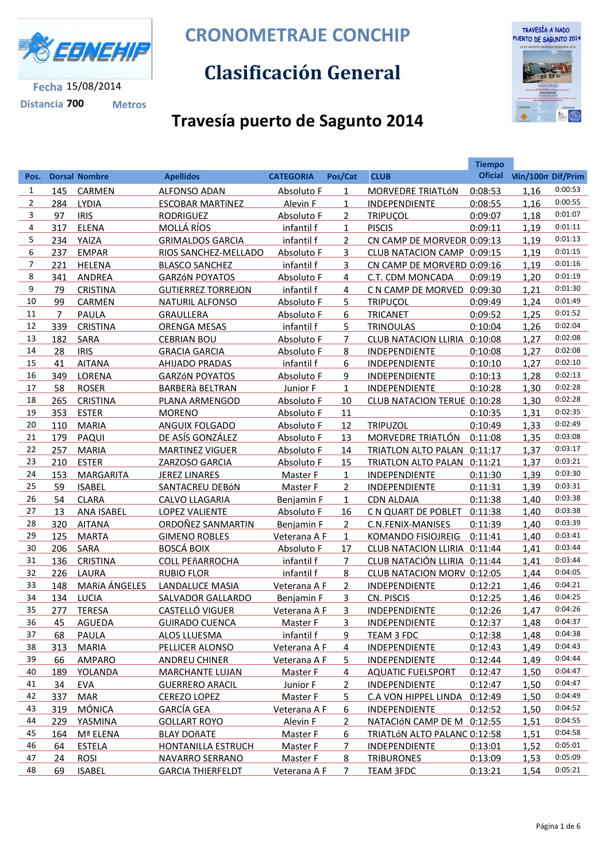

**Distancia 700 Metros**

**CRONOMETRAJE CONCHIP**

## **Clasificación General**



## **Travesía puerto de Sagunto 2014**

|                |                |                      |                           |                   |                |                              | <b>Tiempo</b>  |                          |         |
|----------------|----------------|----------------------|---------------------------|-------------------|----------------|------------------------------|----------------|--------------------------|---------|
| Pos.           |                | <b>Dorsal Nombre</b> | <b>Apellidos</b>          | <b>CATEGORIA</b>  | Pos/Cat        | <b>CLUB</b>                  | <b>Oficial</b> | <b>Vin/100m Dif/Prim</b> |         |
| 1              | 145            | <b>CARMEN</b>        | <b>ALFONSO ADAN</b>       | Absoluto F        | 1              | MORVEDRE TRIATLÓN            | 0:08:53        | 1,16                     | 0:00:53 |
| $\overline{2}$ | 284            | <b>LYDIA</b>         | <b>ESCOBAR MARTÍNEZ</b>   | Alevin F          | $\mathbf{1}$   | INDEPENDIENTE                | 0:08:55        | 1,16                     | 0:00:55 |
| 3              | 97             | <b>IRIS</b>          | <b>RODRIGUEZ</b>          | Absoluto F        | $\overline{2}$ | <b>TRIPUCOL</b>              | 0:09:07        | 1,18                     | 0:01:07 |
| 4              | 317            | <b>ELENA</b>         | MOLLÁ RÍOS                | infantil f        | $\mathbf{1}$   | <b>PISCIS</b>                | 0:09:11        | 1,19                     | 0:01:11 |
| 5              | 234            | YAIZA                | <b>GRIMALDOS GARCIA</b>   | infantil f        | $\overline{2}$ | CN CAMP DE MORVEDR 0:09:13   |                | 1,19                     | 0:01:13 |
| 6              | 237            | <b>EMPAR</b>         | RIOS SANCHEZ-MELLADO      | <b>Absoluto F</b> | 3              | CLUB NATACION CAMP 0:09:15   |                | 1,19                     | 0:01:15 |
| 7              | 221            | <b>HELENA</b>        | <b>BLASCO SANCHEZ</b>     | infantil f        | 3              | CN CAMP DE MORVERD 0:09:16   |                | 1,19                     | 0:01:16 |
| 8              | 341            | <b>ANDREA</b>        | <b>GARZÓN POYATOS</b>     | <b>Absoluto F</b> | 4              | C.T. CDM MONCADA             | 0:09:19        | 1,20                     | 0:01:19 |
| 9              | 79             | <b>CRISTINA</b>      | <b>GUTIERREZ TORREJON</b> | infantil f        | 4              | C N CAMP DE MORVED 0:09:30   |                | 1,21                     | 0:01:30 |
| 10             | 99             | CARMEN               | <b>NATURIL ALFONSO</b>    | Absoluto F        | 5              | <b>TRIPUÇOL</b>              | 0:09:49        | 1,24                     | 0:01:49 |
| 11             | $\overline{7}$ | <b>PAULA</b>         | <b>GRAULLERA</b>          | Absoluto F        | 6              | <b>TRICANET</b>              | 0:09:52        | 1,25                     | 0:01:52 |
| 12             | 339            | <b>CRISTINA</b>      | <b>ORENGA MESAS</b>       | infantil f        | 5              | <b>TRINOULAS</b>             | 0:10:04        | 1,26                     | 0:02:04 |
| 13             | 182            | SARA                 | <b>CEBRIAN BOU</b>        | Absoluto F        | $\overline{7}$ | CLUB NATACION LLIRIA 0:10:08 |                | 1,27                     | 0:02:08 |
| 14             | 28             | <b>IRIS</b>          | <b>GRACIA GARCIA</b>      | Absoluto F        | 8              | INDEPENDIENTE                | 0:10:08        | 1,27                     | 0:02:08 |
| 15             | 41             | <b>AITANA</b>        | <b>AHIJADO PRADAS</b>     | infantil f        | 6              | INDEPENDIENTE                | 0:10:10        | 1,27                     | 0:02:10 |
| 16             | 349            | LORENA               | <b>GARZÓN POYATOS</b>     | Absoluto F        | 9              | INDEPENDIENTE                | 0:10:13        | 1,28                     | 0:02:13 |
| 17             | 58             | <b>ROSER</b>         | <b>BARBERà BELTRAN</b>    | Junior F          | $\mathbf{1}$   | INDEPENDIENTE                | 0:10:28        | 1,30                     | 0:02:28 |
| 18             | 265            | <b>CRISTINA</b>      | PLANA ARMENGOD            | Absoluto F        | 10             | CLUB NATACION TERUE 0:10:28  |                | 1,30                     | 0:02:28 |
| 19             | 353            | <b>ESTER</b>         | <b>MORENO</b>             | Absoluto F        | 11             |                              | 0:10:35        | 1,31                     | 0:02:35 |
| 20             | 110            | <b>MARIA</b>         | ANGUIX FOLGADO            | Absoluto F        | 12             | <b>TRIPUZOL</b>              | 0:10:49        | 1,33                     | 0:02:49 |
| 21             | 179            | PAQUI                | DE ASÍS GONZÁLEZ          | Absoluto F        | 13             | MORVEDRE TRIATLÓN            | 0:11:08        | 1,35                     | 0:03:08 |
| 22             | 257            | <b>MARIA</b>         | <b>MARTINEZ VIGUER</b>    | Absoluto F        | 14             | TRIATLON ALTO PALAN 0:11:17  |                | 1,37                     | 0:03:17 |
| 23             | 210            | <b>ESTER</b>         | ZARZOSO GARCIA            | Absoluto F        | 15             | TRIATLON ALTO PALAN 0:11:21  |                | 1,37                     | 0:03:21 |
| 24             | 153            | <b>MARGARITA</b>     | <b>JEREZ LINARES</b>      | Master F          | $\mathbf{1}$   | INDEPENDIENTE                | 0:11:30        | 1,39                     | 0:03:30 |
| 25             | 59             | <b>ISABEL</b>        | SANTACREU DEBÓN           | Master F          | $\overline{2}$ | INDEPENDIENTE                | 0:11:31        | 1,39                     | 0:03:31 |
| 26             | 54             | <b>CLARA</b>         | CALVO LLAGARIA            | <b>Benjamin F</b> | $\mathbf{1}$   | <b>CDN ALDAIA</b>            | 0:11:38        | 1,40                     | 0:03:38 |
| 27             | 13             | <b>ANA ISABEL</b>    | <b>LOPEZ VALIENTE</b>     | Absoluto F        | 16             | C N QUART DE POBLET          | 0:11:38        | 1,40                     | 0:03:38 |
| 28             | 320            | <b>AITANA</b>        | ORDOÑEZ SANMARTIN         | Benjamin F        | $\overline{2}$ | C.N.FENIX-MANISES            | 0:11:39        | 1,40                     | 0:03:39 |
| 29             | 125            | <b>MARTA</b>         | <b>GIMENO ROBLES</b>      | Veterana A F      | $\mathbf{1}$   | <b>KOMANDO FISIOJREIG</b>    | 0:11:41        | 1,40                     | 0:03:41 |
| 30             | 206            | <b>SARA</b>          | <b>BOSCÁ BOIX</b>         | Absoluto F        | 17             | CLUB NATACION LLIRIA 0:11:44 |                | 1,41                     | 0:03:44 |
| 31             | 136            | <b>CRISTINA</b>      | <b>COLL PEñARROCHA</b>    | infantil f        | 7              | CLUB NATACIÓN LLIRIA 0:11:44 |                | 1,41                     | 0:03:44 |
| 32             | 226            | LAURA                | <b>RUBIO FLOR</b>         | infantil f        | 8              | CLUB NATACION MORV 0:12:05   |                | 1,44                     | 0:04:05 |
| 33             | 148            | MARÍA ÁNGELES        | <b>LANDALUCE MASIA</b>    | Veterana A F      | $\overline{2}$ | INDEPENDIENTE                | 0:12:21        | 1,46                     | 0:04:21 |
| 34             | 134            | LUCIA                | <b>SALVADOR GALLARDO</b>  | Benjamin F        | 3              | CN. PISCIS                   | 0:12:25        | 1,46                     | 0:04:25 |
| 35             | 277            | <b>TERESA</b>        | <b>CASTELLÓ VIGUER</b>    | Veterana A F      | 3              | INDEPENDIENTE                | 0:12:26        | 1,47                     | 0:04:26 |
| 36             | 45             | AGUEDA               | <b>GUIRADO CUENCA</b>     | <b>Master F</b>   | 3              | <b>INDEPENDIENTE</b>         | 0:12:37        | 1,48                     | 0:04:37 |
| 37             | 68             | <b>PAULA</b>         | <b>ALOS LLUESMA</b>       | <u>infantil f</u> | 9              | <b>TEAM 3 FDC</b>            | 0:12:38        | 1,48                     | 0:04:38 |
| 38             | 313            | <b>MARIA</b>         | PELLICER ALONSO           | Veterana A F      | 4              | INDEPENDIENTE                | 0:12:43        | 1,49                     | 0:04:43 |
| 39             | 66             | <b>AMPARO</b>        | <b>ANDREU CHINER</b>      | Veterana A F      | 5.             | <b>INDEPENDIENTE</b>         | 0:12:44        | 1,49                     | 0:04:44 |
| 40             | 189            | YOLANDA              | <b>MARCHANTE LUJAN</b>    | Master F          | 4              | <b>AQUATIC FUELSPORT</b>     | 0:12:47        | 1,50                     | 0:04:47 |
| 41             | 34             | EVA                  | <b>GUERRERO ARACIL</b>    | Junior F          | 2              | <b>INDEPENDIENTE</b>         | 0:12:47        | 1,50                     | 0:04:47 |
| 42             | 337            | <b>MAR</b>           | <b>CEREZO LOPEZ</b>       | Master F          | 5.             | C.A VON HIPPEL LINDA 0:12:49 |                | 1,50                     | 0:04:49 |
| 43             | 319            | <b>MÓNICA</b>        | <b>GARCÍA GEA</b>         | Veterana A F      | 6              | <b>INDEPENDIENTE</b>         | 0:12:52        | 1,50                     | 0:04:52 |
| 44             | 229            | YASMINA              | <b>GOLLART ROYO</b>       | Alevin F          | 2              | NATACIÓN CAMP DE M 0:12:55   |                | 1,51                     | 0:04:55 |
| 45             | 164            | Mª ELENA             | <b>BLAY DOÑATE</b>        | Master F          | 6              | TRIATLÓN ALTO PALANC 0:12:58 |                | 1,51                     | 0:04:58 |
| 46             | 64             | <b>ESTELA</b>        | <b>HONTANILLA ESTRUCH</b> | Master F          | 7              | <b>INDEPENDIENTE</b>         | 0:13:01        | 1,52                     | 0:05:01 |
| 47             | 24             | <b>ROSI</b>          | <b>NAVARRO SERRANO</b>    | Master F          | 8              | <b>TRIBURONES</b>            | 0:13:09        | 1,53                     | 0:05:09 |
| 48             | 69             | <b>ISABEL</b>        | <b>GARCIA THIERFELDT</b>  | Veterana A F      | 7              | <b>TEAM 3FDC</b>             | 0:13:21        | 1,54                     | 0:05:21 |
|                |                |                      |                           |                   |                |                              |                |                          |         |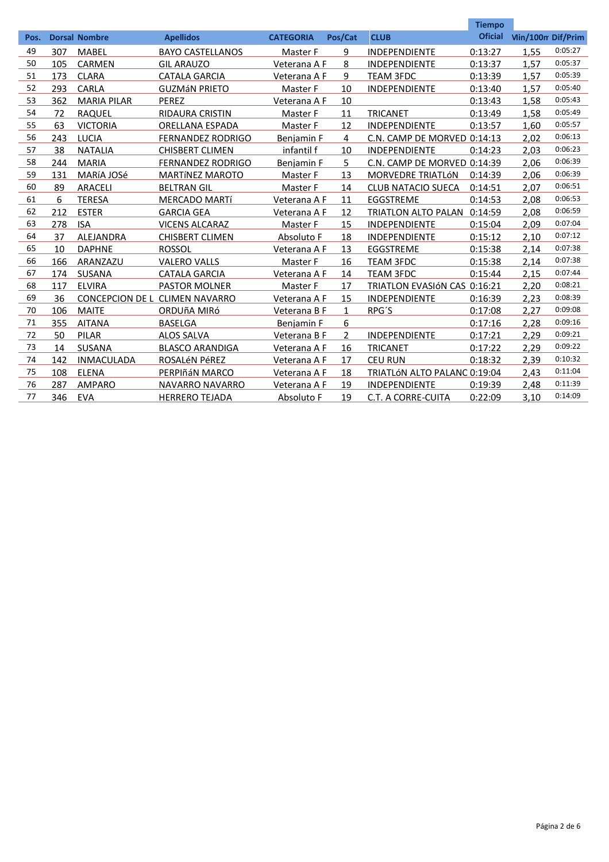|      |     |                        |                          |                  |                |                              | <b>Tiempo</b>  |                          |         |
|------|-----|------------------------|--------------------------|------------------|----------------|------------------------------|----------------|--------------------------|---------|
| Pos. |     | <b>Dorsal Nombre</b>   | <b>Apellidos</b>         | <b>CATEGORIA</b> | Pos/Cat        | <b>CLUB</b>                  | <b>Oficial</b> | <b>Min/100m Dif/Prim</b> |         |
| 49   | 307 | <b>MABEL</b>           | <b>BAYO CASTELLANOS</b>  | Master F         | 9              | <b>INDEPENDIENTE</b>         | 0:13:27        | 1.55                     | 0:05:27 |
| 50   | 105 | <b>CARMEN</b>          | <b>GIL ARAUZO</b>        | Veterana A F     | 8              | <b>INDEPENDIENTE</b>         | 0:13:37        | 1,57                     | 0:05:37 |
| 51   | 173 | <b>CLARA</b>           | <b>CATALA GARCIA</b>     | Veterana A F     | 9              | <b>TEAM 3FDC</b>             | 0:13:39        | 1,57                     | 0:05:39 |
| 52   | 293 | CARLA                  | <b>GUZMÁN PRIETO</b>     | Master F         | 10             | <b>INDEPENDIENTE</b>         | 0:13:40        | 1.57                     | 0:05:40 |
| 53   | 362 | <b>MARIA PILAR</b>     | PEREZ                    | Veterana A F     | 10             |                              | 0:13:43        | 1,58                     | 0:05:43 |
| 54   | 72  | <b>RAQUEL</b>          | <b>RIDAURA CRISTIN</b>   | Master F         | 11             | <b>TRICANET</b>              | 0:13:49        | 1.58                     | 0:05:49 |
| 55   | 63  | <b>VICTORIA</b>        | <b>ORELLANA ESPADA</b>   | Master F         | 12             | <b>INDEPENDIENTE</b>         | 0:13:57        | 1,60                     | 0:05:57 |
| 56   | 243 | LUCIA                  | <b>FERNANDEZ RODRIGO</b> | Benjamin F       | 4              | C.N. CAMP DE MORVED 0:14:13  |                | 2.02                     | 0:06:13 |
| 57   | 38  | <b>NATALIA</b>         | <b>CHISBERT CLIMEN</b>   | infantil f       | 10             | <b>INDEPENDIENTE</b>         | 0:14:23        | 2,03                     | 0:06:23 |
| 58   | 244 | <b>MARIA</b>           | <b>FERNANDEZ RODRIGO</b> | Benjamin F       | 5.             | C.N. CAMP DE MORVED 0:14:39  |                | 2,06                     | 0:06:39 |
| 59   | 131 | MARÍA JOSé             | <b>MARTÍNEZ MAROTO</b>   | Master F         | 13             | <b>MORVEDRE TRIATLÓN</b>     | 0:14:39        | 2.06                     | 0:06:39 |
| 60   | 89  | <b>ARACELI</b>         | <b>BELTRAN GIL</b>       | Master F         | 14             | <b>CLUB NATACIO SUECA</b>    | 0:14:51        | 2.07                     | 0:06:51 |
| 61   | 6   | <b>TERESA</b>          | <b>MERCADO MARTÍ</b>     | Veterana A F     | 11             | <b>EGGSTREME</b>             | 0:14:53        | 2.08                     | 0:06:53 |
| 62   | 212 | <b>ESTER</b>           | <b>GARCIA GEA</b>        | Veterana A F     | 12             | TRIATLON ALTO PALAN 0:14:59  |                | 2.08                     | 0:06:59 |
| 63   | 278 | <b>ISA</b>             | <b>VICENS ALCARAZ</b>    | Master F         | 15             | <b>INDEPENDIENTE</b>         | 0:15:04        | 2.09                     | 0:07:04 |
| 64   | 37  | <b>ALEJANDRA</b>       | <b>CHISBERT CLIMEN</b>   | Absoluto F       | 18             | <b>INDEPENDIENTE</b>         | 0:15:12        | 2.10                     | 0:07:12 |
| 65   | 10  | <b>DAPHNE</b>          | <b>ROSSOL</b>            | Veterana A F     | 13             | <b>EGGSTREME</b>             | 0:15:38        | 2.14                     | 0:07:38 |
| 66   | 166 | ARANZAZU               | <b>VALERO VALLS</b>      | Master F         | 16             | <b>TEAM 3FDC</b>             | 0:15:38        | 2,14                     | 0:07:38 |
| 67   | 174 | <b>SUSANA</b>          | <b>CATALA GARCIA</b>     | Veterana A F     | 14             | <b>TEAM 3FDC</b>             | 0:15:44        | 2.15                     | 0:07:44 |
| 68   | 117 | <b>ELVIRA</b>          | <b>PASTOR MOLNER</b>     | Master F         | 17             | TRIATLON EVASIÓN CAS 0:16:21 |                | 2.20                     | 0:08:21 |
| 69   | 36  | <b>CONCEPCION DE L</b> | <b>CLIMEN NAVARRO</b>    | Veterana A F     | 15             | <b>INDEPENDIENTE</b>         | 0:16:39        | 2.23                     | 0:08:39 |
| 70   | 106 | <b>MAITE</b>           | ORDUÑA MIRÓ              | Veterana B F     | $\mathbf{1}$   | RPG'S                        | 0:17:08        | 2,27                     | 0:09:08 |
| 71   | 355 | <b>AITANA</b>          | <b>BASELGA</b>           | Benjamin F       | 6              |                              | 0:17:16        | 2,28                     | 0:09:16 |
| 72   | 50  | <b>PILAR</b>           | <b>ALOS SALVA</b>        | Veterana B F     | $\overline{2}$ | <b>INDEPENDIENTE</b>         | 0:17:21        | 2.29                     | 0:09:21 |
| 73   | 14  | <b>SUSANA</b>          | <b>BLASCO ARANDIGA</b>   | Veterana A F     | 16             | <b>TRICANET</b>              | 0:17:22        | 2,29                     | 0:09:22 |
| 74   | 142 | <b>INMACULADA</b>      | ROSALÉN PÉREZ            | Veterana A F     | 17             | <b>CEU RUN</b>               | 0:18:32        | 2,39                     | 0:10:32 |
| 75   | 108 | <b>ELENA</b>           | PERPIñáN MARCO           | Veterana A F     | 18             | TRIATLÓN ALTO PALANC 0:19:04 |                | 2,43                     | 0:11:04 |
| 76   | 287 | <b>AMPARO</b>          | <b>NAVARRO NAVARRO</b>   | Veterana A F     | 19             | <b>INDEPENDIENTE</b>         | 0:19:39        | 2.48                     | 0:11:39 |
| 77   | 346 | <b>EVA</b>             | <b>HERRERO TEJADA</b>    | Absoluto F       | 19             | C.T. A CORRE-CUITA           | 0:22:09        | 3,10                     | 0:14:09 |
|      |     |                        |                          |                  |                |                              |                |                          |         |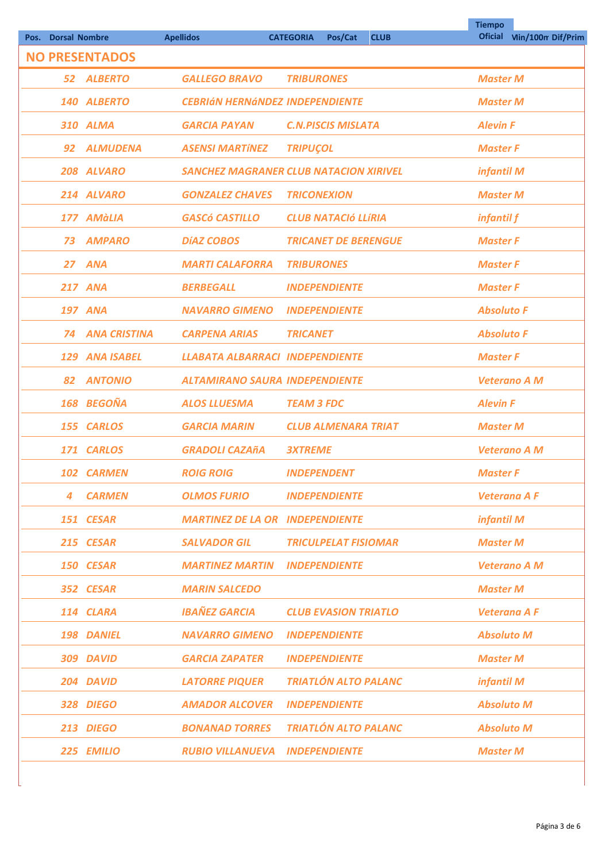|                              |                       |                                               |                             |             | <b>Tiempo</b>       |                           |
|------------------------------|-----------------------|-----------------------------------------------|-----------------------------|-------------|---------------------|---------------------------|
| <b>Dorsal Nombre</b><br>Pos. |                       | <b>Apellidos</b>                              | <b>CATEGORIA</b><br>Pos/Cat | <b>CLUB</b> |                     | Oficial Vin/100m Dif/Prim |
|                              | <b>NO PRESENTADOS</b> |                                               |                             |             |                     |                           |
|                              | 52 ALBERTO            | <b>GALLEGO BRAVO</b>                          | <b>TRIBURONES</b>           |             | <b>Master M</b>     |                           |
|                              | 140 ALBERTO           | <b>CEBRIÁN HERNÁNDEZ INDEPENDIENTE</b>        |                             |             | <b>Master M</b>     |                           |
|                              | 310 ALMA              | <b>GARCIA PAYAN</b>                           | <b>C.N.PISCIS MISLATA</b>   |             | <b>Alevin F</b>     |                           |
| 92                           | <b>ALMUDENA</b>       | <b>ASENSI MARTÍNEZ</b>                        | <b>TRIPUÇOL</b>             |             | <b>Master F</b>     |                           |
|                              | 208 ALVARO            | <b>SANCHEZ MAGRANER CLUB NATACION XIRIVEL</b> |                             |             | infantil M          |                           |
|                              | 214 ALVARO            | <b>GONZALEZ CHAVES</b>                        | <b>TRICONEXION</b>          |             | <b>Master M</b>     |                           |
|                              | 177 AMàLIA            | <b>GASCÓ CASTILLO</b>                         | <b>CLUB NATACIÓ LLÍRIA</b>  |             | infantil f          |                           |
| 73                           | <b>AMPARO</b>         | <b>DÍAZ COBOS</b>                             | <b>TRICANET DE BERENGUE</b> |             | <b>Master F</b>     |                           |
|                              | 27 ANA                | <b>MARTI CALAFORRA</b>                        | <b>TRIBURONES</b>           |             | <b>Master F</b>     |                           |
|                              | <b>217 ANA</b>        | <b>BERBEGALL</b>                              | <b>INDEPENDIENTE</b>        |             | <b>Master F</b>     |                           |
|                              | <b>197 ANA</b>        | <b>NAVARRO GIMENO</b>                         | <b>INDEPENDIENTE</b>        |             | <b>Absoluto F</b>   |                           |
| 74                           | <b>ANA CRISTINA</b>   | <b>CARPENA ARIAS</b>                          | <b>TRICANET</b>             |             | <b>Absoluto F</b>   |                           |
| 129                          | <b>ANA ISABEL</b>     | <b>LLABATA ALBARRACI INDEPENDIENTE</b>        |                             |             | <b>Master F</b>     |                           |
| 82                           | <b>ANTONIO</b>        | <b>ALTAMIRANO SAURA INDEPENDIENTE</b>         |                             |             | <b>Veterano A M</b> |                           |
|                              | 168 BEGOÑA            | <b>ALOS LLUESMA</b>                           | <b>TEAM 3 FDC</b>           |             | <b>Alevin F</b>     |                           |
|                              | 155 CARLOS            | <b>GARCIA MARIN</b>                           | <b>CLUB ALMENARA TRIAT</b>  |             | <b>Master M</b>     |                           |
|                              | 171 CARLOS            | <b>GRADOLI CAZAñA</b>                         | <b>3XTREME</b>              |             | <b>Veterano A M</b> |                           |
|                              | 102 CARMEN            | <b>ROIG ROIG</b>                              | <b>INDEPENDENT</b>          |             | <b>Master F</b>     |                           |
| 4                            | <b>CARMEN</b>         | <b>OLMOS FURIO</b>                            | <b>INDEPENDIENTE</b>        |             | <b>Veterana A F</b> |                           |
|                              | 151 CESAR             | <b>MARTINEZ DE LA OR INDEPENDIENTE</b>        |                             |             | infantil M          |                           |
|                              | 215 CESAR             | <b>SALVADOR GIL</b>                           | <b>TRICULPELAT FISIOMAR</b> |             | <b>Master M</b>     |                           |
|                              | 150 CESAR             | <b>MARTINEZ MARTIN</b>                        | <b>INDEPENDIENTE</b>        |             | <b>Veterano A M</b> |                           |
|                              | 352 CESAR             | <b>MARIN SALCEDO</b>                          |                             |             | <b>Master M</b>     |                           |
|                              | 114 CLARA             | <b>IBAÑEZ GARCIA</b>                          | <b>CLUB EVASION TRIATLO</b> |             | <b>Veterana A F</b> |                           |
|                              | 198 DANIEL            | <b>NAVARRO GIMENO</b>                         | <b>INDEPENDIENTE</b>        |             | <b>Absoluto M</b>   |                           |
|                              | 309 DAVID             | <b>GARCIA ZAPATER</b>                         | <b>INDEPENDIENTE</b>        |             | <b>Master M</b>     |                           |
|                              | 204 DAVID             | <b>LATORRE PIQUER</b>                         | <b>TRIATLÓN ALTO PALANC</b> |             | infantil M          |                           |
|                              | 328 DIEGO             | <b>AMADOR ALCOVER</b>                         | <b>INDEPENDIENTE</b>        |             | <b>Absoluto M</b>   |                           |
|                              | 213 DIEGO             | <b>BONANAD TORRES</b>                         | <b>TRIATLÓN ALTO PALANC</b> |             | <b>Absoluto M</b>   |                           |
|                              | 225 EMILIO            | <b>RUBIO VILLANUEVA</b>                       | <b>INDEPENDIENTE</b>        |             | <b>Master M</b>     |                           |
|                              |                       |                                               |                             |             |                     |                           |

 $\overline{\phantom{a}}$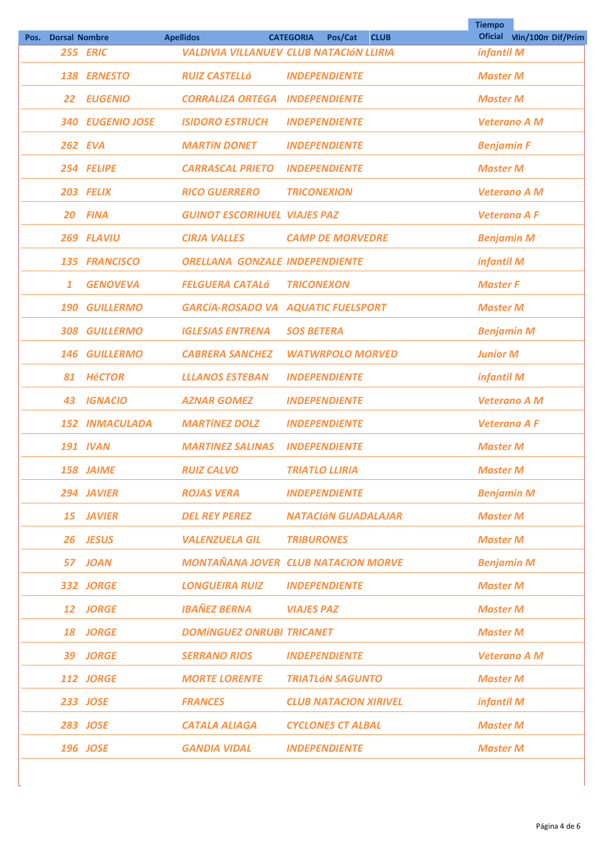| Pos. | <b>Dorsal Nombre</b> |                       | <b>Apellidos</b>                      | <b>CATEGORIA</b><br>Pos/Cat<br><b>CLUB</b> | <b>Tiempo</b>       | Oficial Vin/100m Dif/Prim |
|------|----------------------|-----------------------|---------------------------------------|--------------------------------------------|---------------------|---------------------------|
|      |                      | 255 ERIC              |                                       | VALDIVIA VILLANUEV CLUB NATACIÓN LLIRIA    | infantil M          |                           |
|      |                      | 138 ERNESTO           | <b>RUIZ CASTELLÓ</b>                  | <b>INDEPENDIENTE</b>                       | <b>Master M</b>     |                           |
|      | 22                   | <b>EUGENIO</b>        | <b>CORRALIZA ORTEGA</b>               | <b>INDEPENDIENTE</b>                       | <b>Master M</b>     |                           |
|      | 340                  | <b>EUGENIO JOSE</b>   | <b>ISIDORO ESTRUCH</b>                | <b>INDEPENDIENTE</b>                       | <b>Veterano A M</b> |                           |
|      | <b>262 EVA</b>       |                       | <b>MARTÍN DONET</b>                   | <b>INDEPENDIENTE</b>                       | <b>Benjamin F</b>   |                           |
|      |                      | 254 FELIPE            | <b>CARRASCAL PRIETO</b>               | <b>INDEPENDIENTE</b>                       | <b>Master M</b>     |                           |
|      |                      | 203 FELIX             | <b>RICO GUERRERO</b>                  | <b>TRICONEXION</b>                         | <b>Veterano A M</b> |                           |
|      | 20                   | <b>FINA</b>           | <b>GUINOT ESCORIHUEL VIAJES PAZ</b>   |                                            | <b>Veterana A F</b> |                           |
|      |                      | 269 FLAVIU            | <b>CIRJA VALLES</b>                   | <b>CAMP DE MORVEDRE</b>                    | <b>Benjamin M</b>   |                           |
|      |                      | 135 FRANCISCO         | <b>ORELLANA GONZALE INDEPENDIENTE</b> |                                            | infantil M          |                           |
|      | 1                    | <b>GENOVEVA</b>       | <b>FELGUERA CATALÁ</b>                | <b>TRICONEXON</b>                          | <b>Master F</b>     |                           |
|      | 190                  | <b>GUILLERMO</b>      |                                       | GARCÍA-ROSADO VA AQUATIC FUELSPORT         | <b>Master M</b>     |                           |
|      | 308                  | <b>GUILLERMO</b>      | <b>IGLESIAS ENTRENA</b>               | <b>SOS BETERA</b>                          | <b>Benjamin M</b>   |                           |
|      | 146                  | <b>GUILLERMO</b>      | <b>CABRERA SANCHEZ</b>                | <b>WATWRPOLO MORVED</b>                    | <b>Junior M</b>     |                           |
|      | 81                   | <b>HéCTOR</b>         | <b>LLLANOS ESTEBAN</b>                | <b>INDEPENDIENTE</b>                       | infantil M          |                           |
|      | 43                   | <b>IGNACIO</b>        | <b>AZNAR GOMEZ</b>                    | <b>INDEPENDIENTE</b>                       | <b>Veterano A M</b> |                           |
|      |                      | <b>152 INMACULADA</b> | <b>MARTÍNEZ DOLZ</b>                  | <b>INDEPENDIENTE</b>                       | <b>Veterana A F</b> |                           |
|      |                      | <b>191 IVAN</b>       | <b>MARTINEZ SALINAS</b>               | <b>INDEPENDIENTE</b>                       | <b>Master M</b>     |                           |
|      |                      | 158 JAIME             | <b>RUIZ CALVO</b>                     | <b>TRIATLO LLIRIA</b>                      | <b>Master M</b>     |                           |
|      |                      | 294 JAVIER            | <b>ROJAS VERA</b>                     | <b>INDEPENDIENTE</b>                       | <b>Benjamin M</b>   |                           |
|      |                      | 15 JAVIER             | <b>DEL REY PEREZ</b>                  | <b>NATACIÓN GUADALAJAR</b>                 | <b>Master M</b>     |                           |
|      |                      | 26 JESUS              | <b>VALENZUELA GIL</b>                 | <b>TRIBURONES</b>                          | <b>Master M</b>     |                           |
|      |                      | 57 JOAN               |                                       | <b>MONTAÑANA JOVER CLUB NATACION MORVE</b> | <b>Benjamin M</b>   |                           |
|      |                      | 332 JORGE             | <b>LONGUEIRA RUIZ</b>                 | <b>INDEPENDIENTE</b>                       | <b>Master M</b>     |                           |
|      |                      | 12 JORGE              | <b>IBAÑEZ BERNA</b>                   | <b>VIAJES PAZ</b>                          | <b>Master M</b>     |                           |
|      |                      | 18 JORGE              | <b>DOMÍNGUEZ ONRUBI TRICANET</b>      |                                            | <b>Master M</b>     |                           |
|      |                      | 39 JORGE              | <b>SERRANO RIOS</b>                   | <b>INDEPENDIENTE</b>                       | <b>Veterano A M</b> |                           |
|      |                      | 112 JORGE             | <b>MORTE LORENTE</b>                  | <b>TRIATLÓN SAGUNTO</b>                    | <b>Master M</b>     |                           |
|      |                      | 233 JOSE              | <b>FRANCES</b>                        | <b>CLUB NATACION XIRIVEL</b>               | infantil M          |                           |
|      |                      | <b>283 JOSE</b>       | <b>CATALA ALIAGA</b>                  | <b>CYCLONES CT ALBAL</b>                   | <b>Master M</b>     |                           |
|      |                      | 196 JOSE              | <b>GANDIA VIDAL</b>                   | <b>INDEPENDIENTE</b>                       | <b>Master M</b>     |                           |
|      |                      |                       |                                       |                                            |                     |                           |

 $\overline{\phantom{a}}$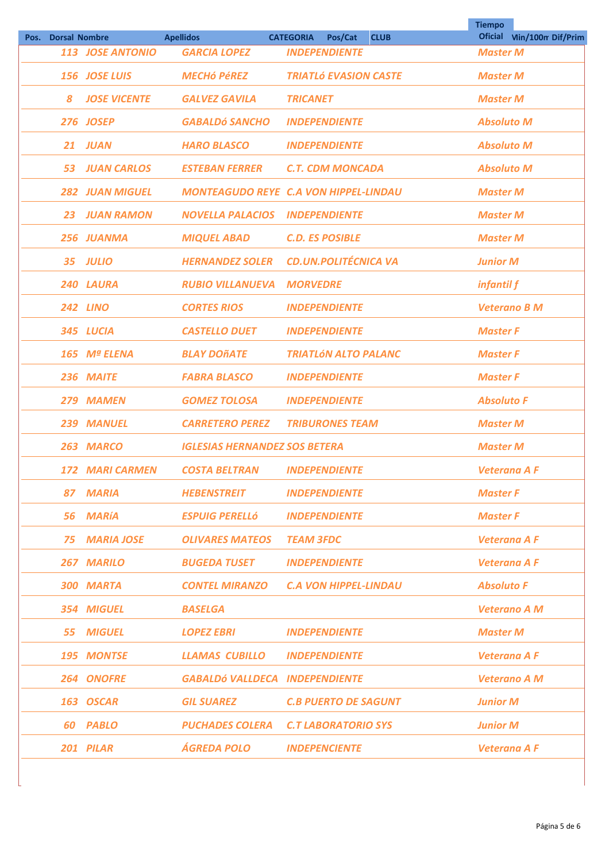|                    |                        |                                         |                                                                    | <b>Tiempo</b>                      |  |
|--------------------|------------------------|-----------------------------------------|--------------------------------------------------------------------|------------------------------------|--|
| Pos. Dorsal Nombre | 113 JOSE ANTONIO       | <b>Apellidos</b><br><b>GARCIA LOPEZ</b> | Pos/Cat<br><b>CATEGORIA</b><br><b>CLUB</b><br><b>INDEPENDIENTE</b> | Oficial Vin/100m Dif/Prim          |  |
|                    | 156 JOSE LUIS          | <b>MECHÓ PÉREZ</b>                      | <b>TRIATLÓ EVASION CASTE</b>                                       | <b>Master M</b><br><b>Master M</b> |  |
| 8                  | <b>JOSE VICENTE</b>    | <b>GALVEZ GAVILA</b>                    | <b>TRICANET</b>                                                    | <b>Master M</b>                    |  |
|                    | <b>276 JOSEP</b>       | <b>GABALDÓ SANCHO</b>                   | <b>INDEPENDIENTE</b>                                               | <b>Absoluto M</b>                  |  |
| 21                 | <b>JUAN</b>            | <b>HARO BLASCO</b>                      | <b>INDEPENDIENTE</b>                                               | <b>Absoluto M</b>                  |  |
| 53.                | <b>JUAN CARLOS</b>     | <b>ESTEBAN FERRER</b>                   | <b>C.T. CDM MONCADA</b>                                            | <b>Absoluto M</b>                  |  |
|                    | <b>282 JUAN MIGUEL</b> |                                         | <b>MONTEAGUDO REYE C.A VON HIPPEL-LINDAU</b>                       | <b>Master M</b>                    |  |
| 23                 | <b>JUAN RAMON</b>      | <b>NOVELLA PALACIOS</b>                 | <b>INDEPENDIENTE</b>                                               | <b>Master M</b>                    |  |
|                    | 256 JUANMA             | <b>MIQUEL ABAD</b>                      | <b>C.D. ES POSIBLE</b>                                             | <b>Master M</b>                    |  |
|                    | 35 JULIO               | <b>HERNANDEZ SOLER</b>                  | <b>CD.UN.POLITÉCNICA VA</b>                                        | <b>Junior M</b>                    |  |
|                    | 240 LAURA              | <b>RUBIO VILLANUEVA</b>                 | <b>MORVEDRE</b>                                                    | infantil f                         |  |
|                    | <b>242 LINO</b>        | <b>CORTES RIOS</b>                      | <b>INDEPENDIENTE</b>                                               | <b>Veterano B M</b>                |  |
|                    | 345 LUCIA              | <b>CASTELLO DUET</b>                    | <b>INDEPENDIENTE</b>                                               | <b>Master F</b>                    |  |
|                    | 165 Mª ELENA           | <b>BLAY DOÑATE</b>                      | <b>TRIATLÓN ALTO PALANC</b>                                        | <b>Master F</b>                    |  |
|                    | 236 MAITE              | <b>FABRA BLASCO</b>                     | <b>INDEPENDIENTE</b>                                               | <b>Master F</b>                    |  |
|                    | 279 MAMEN              | <b>GOMEZ TOLOSA</b>                     | <b>INDEPENDIENTE</b>                                               | <b>Absoluto F</b>                  |  |
|                    | 239 MANUEL             | <b>CARRETERO PEREZ</b>                  | <b>TRIBURONES TEAM</b>                                             | <b>Master M</b>                    |  |
|                    | 263 MARCO              | <b>IGLESIAS HERNANDEZ SOS BETERA</b>    |                                                                    | <b>Master M</b>                    |  |
|                    | <b>172 MARI CARMEN</b> | <b>COSTA BELTRAN</b>                    | <b>INDEPENDIENTE</b>                                               | <b>Veterana A F</b>                |  |
|                    | 87 MARIA               | <b>HEBENSTREIT</b>                      | <b>INDEPENDIENTE</b>                                               | <b>Master F</b>                    |  |
|                    | 56 MARÍA               | <b>ESPUIG PERELLÓ</b>                   | <b>INDEPENDIENTE</b>                                               | <b>Master F</b>                    |  |
|                    | <b>75 MARIA JOSE</b>   | <b>OLIVARES MATEOS</b>                  | <b>TEAM 3FDC</b>                                                   | <b>Veterana A F</b>                |  |
|                    | 267 MARILO             | <b>BUGEDA TUSET</b>                     | <b>INDEPENDIENTE</b>                                               | <b>Veterana A F</b>                |  |
|                    | 300 MARTA              | <b>CONTEL MIRANZO</b>                   | <b>C.A VON HIPPEL-LINDAU</b>                                       | <b>Absoluto F</b>                  |  |
|                    | 354 MIGUEL             | <b>BASELGA</b>                          |                                                                    | <b>Veterano A M</b>                |  |
|                    | 55 MIGUEL              | <b>LOPEZ EBRI</b>                       | <b>INDEPENDIENTE</b>                                               | <b>Master M</b>                    |  |
|                    | 195 MONTSE             | <b>LLAMAS CUBILLO</b>                   | <b>INDEPENDIENTE</b>                                               | <b>Veterana A F</b>                |  |
|                    | 264 ONOFRE             | <b>GABALDÓ VALLDECA INDEPENDIENTE</b>   |                                                                    | <b>Veterano A M</b>                |  |
|                    | 163 OSCAR              | <b>GIL SUAREZ</b>                       | <b>C.B PUERTO DE SAGUNT</b>                                        | <b>Junior M</b>                    |  |
|                    | 60 PABLO               | PUCHADES COLERA                         | <b>C.T LABORATORIO SYS</b>                                         | <b>Junior M</b>                    |  |
|                    | 201 PILAR              | <b>ÁGREDA POLO</b>                      | <b>INDEPENCIENTE</b>                                               | <b>Veterana A F</b>                |  |
|                    |                        |                                         |                                                                    |                                    |  |